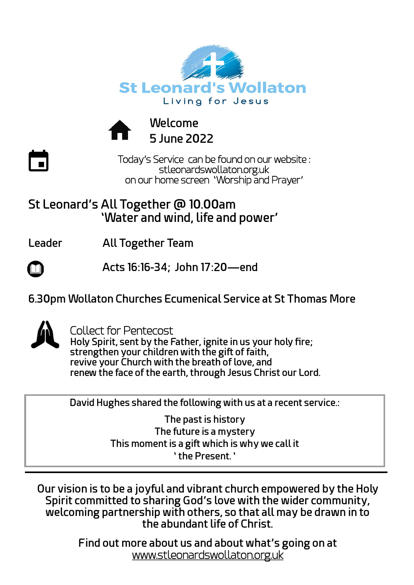



**Welcome 5 June 2022**

Today's Service can be found on our website : stleonardswollaton.org.uk on our home screen 'Worship and Prayer'

## **St Leonard's All Together @ 10.00am 'Water and wind, life and power'**

**Leader All Together Team** 

 **Acts 16:16-34; John 17:20—end**

**6.30pm Wollaton Churches Ecumenical Service at St Thomas More** 



 $\overline{\phantom{a}}$ 

Collect for Pentecost

**Holy Spirit, sent by the Father, ignite in us your holy fire; strengthen your children with the gift of faith, revive your Church with the breath of love, and renew the face of the earth, through Jesus Christ our Lord.**

**David Hughes shared the following with us at a recent service.:**

**The past is history The future is a mystery This moment is a gift which is why we call it ' the Present. '**

**Our vision is to be a joyful and vibrant church empowered by the Holy Spirit committed to sharing God's love with the wider community, welcoming partnership with others, so that all may be drawn in to the abundant life of Christ.**

> **Find out more about us and about what's going on at**  [www.stleonardswollaton.org.uk](http://www.stleonardswollaton.org.uk/)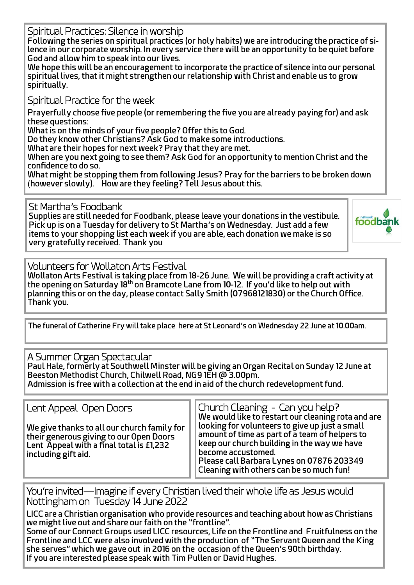Spiritual Practices: Silence in worship

**Following the series on spiritual practices (or holy habits) we are introducing the practice of silence in our corporate worship. In every service there will be an opportunity to be quiet before God and allow him to speak into our lives.**

**We hope this will be an encouragement to incorporate the practice of silence into our personal spiritual lives, that it might strengthen our relationship with Christ and enable us to grow spiritually.**

Spiritual Practice for the week

 **Prayerfully choose five people (or remembering the five you are already paying for) and ask these questions:**

**What is on the minds of your five people? Offer this to God.**

**Do they know other Christians? Ask God to make some introductions.**

**What are their hopes for next week? Pray that they are met.**

**When are you next going to see them? Ask God for an opportunity to mention Christ and the confidence to do so.**

**What might be stopping them from following Jesus? Pray for the barriers to be broken down**  (**however slowly). How are they feeling? Tell Jesus about this.**

St Martha's Foodbank

**Supplies are still needed for Foodbank, please leave your donations in the vestibule. Pick up is on a Tuesday for delivery to St Martha's on Wednesday. Just add a few items to your shopping list each week if you are able, each donation we make is so very gratefully received. Thank you**



Volunteers for Wollaton Arts Festival

**Wollaton Arts Festival is taking place from 18-26 June. We will be providing a craft activity at the opening on Saturday 18th on Bramcote Lane from 10-12. If you'd like to help out with planning this or on the day, please contact Sally Smith (07968121830) or the Church Office. Thank you.**

**The funeral of Catherine Fry will take place here at St Leonard's on Wednesday 22 June at 10.00am.**

## A Summer Organ Spectacular

**Paul Hale, formerly at Southwell Minster will be giving an Organ Recital on Sunday 12 June at Beeston Methodist Church, Chilwell Road, NG9 1EH @ 3.00pm. Admission is free with a collection at the end in aid of the church redevelopment fund.**

Lent Appeal Open Doors

**We give thanks to all our church family for their generous giving to our Open Doors Lent Appeal with a final total is £1,232 including gift aid.**

Church Cleaning - Can you help? **We would like to restart our cleaning rota and are looking for volunteers to give up just a small amount of time as part of a team of helpers to keep our church building in the way we have become accustomed. Please call Barbara Lynes on 07876 203349** 

**Cleaning with others can be so much fun!**

You're invited—Imagine if every Christian lived their whole life as Jesus would Nottingham on Tuesday 14 June 2022

**LICC are a Christian organisation who provide resources and teaching about how as Christians we might live out and share our faith on the "frontline".**

**Some of our Connect Groups used LICC resources, Life on the Frontline and Fruitfulness on the Frontline and LCC were also involved with the production of "The Servant Queen and the King she serves" which we gave out in 2016 on the occasion of the Queen's 90th birthday. If you are interested please speak with Tim Pullen or David Hughes.**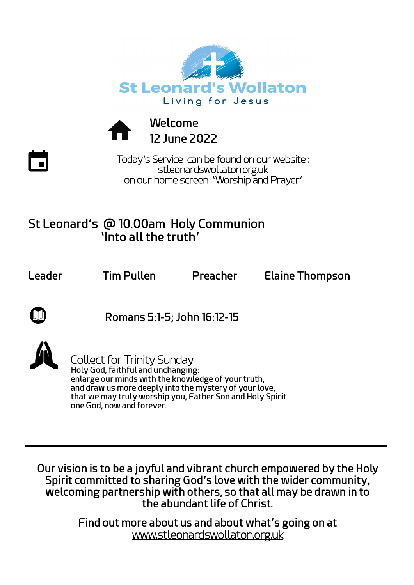



**Welcome 12 June 2022**

Today's Service can be found on our website : stleonardswollaton.org.uk on our home screen 'Worship and Prayer'

## **St Leonard's @ 10.00am Holy Communion 'Into all the truth'**

**Leader Tim Pullen Preacher Elaine Thompson**

 **Romans 5:1-5; John 16:12-15**



Collect for Trinity Sunday **Holy God, faithful and unchanging: enlarge our minds with the knowledge of your truth, and draw us more deeply into the mystery of your love, that we may truly worship you, Father Son and Holy Spirit one God, now and forever.**

**Our vision is to be a joyful and vibrant church empowered by the Holy Spirit committed to sharing God's love with the wider community, welcoming partnership with others, so that all may be drawn in to the abundant life of Christ.**

> **Find out more about us and about what's going on at**  [www.stleonardswollaton.org.uk](http://www.stleonardswollaton.org.uk/)